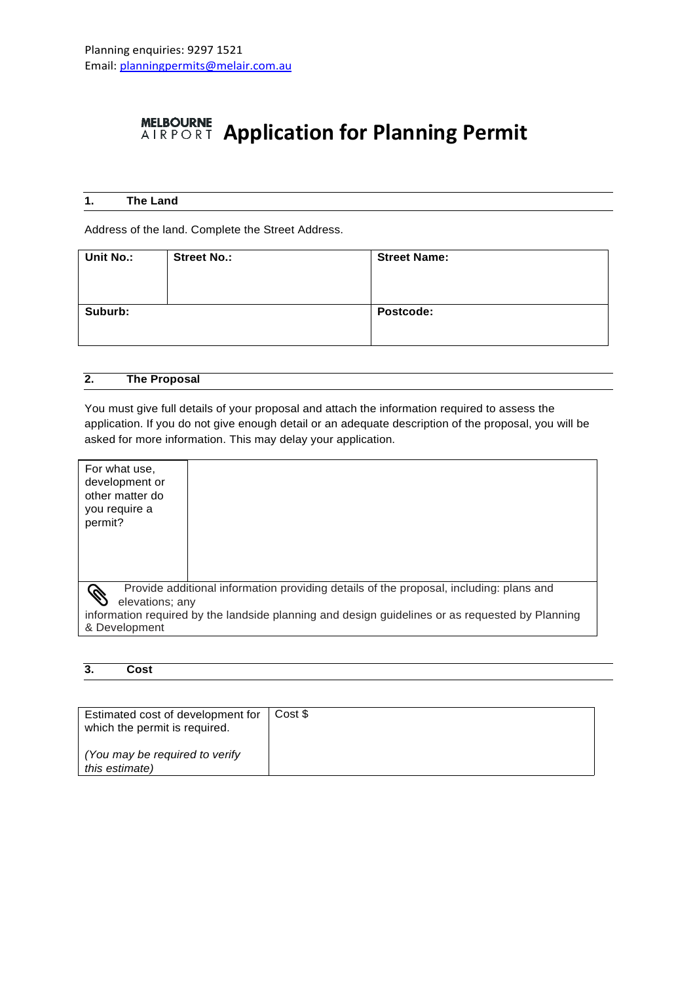# **MELBOURNE Application for Planning Permit**

|--|

Address of the land. Complete the Street Address.

| Unit No.: | <b>Street No.:</b> | <b>Street Name:</b> |
|-----------|--------------------|---------------------|
| Suburb:   |                    | Postcode:           |

| 2. | <b>The Proposal</b> |  |
|----|---------------------|--|
|    |                     |  |

You must give full details of your proposal and attach the information required to assess the application. If you do not give enough detail or an adequate description of the proposal, you will be asked for more information. This may delay your application.

| For what use,<br>development or<br>other matter do<br>you require a<br>permit?                            |  |  |
|-----------------------------------------------------------------------------------------------------------|--|--|
| Provide additional information providing details of the proposal, including: plans and<br>elevations; any |  |  |
| information required by the landside planning and design guidelines or as requested by Planning           |  |  |
| & Development                                                                                             |  |  |

#### **3. Cost**

| Estimated cost of development for   Cost \$<br>which the permit is required. |  |
|------------------------------------------------------------------------------|--|
| (You may be required to verify)<br>this estimate)                            |  |